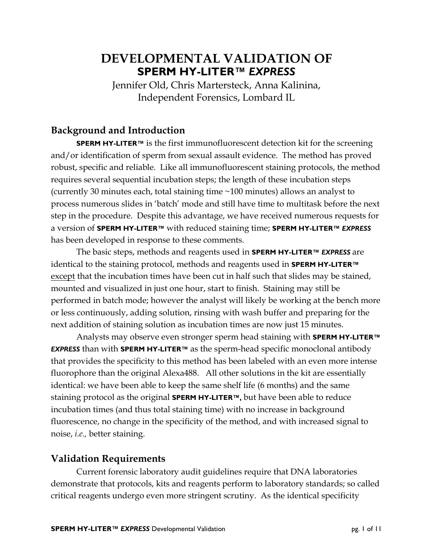# **DEVELOPMENTAL VALIDATION OF SPERM HY-LITER™** *EXPRESS*

Jennifer Old, Chris Martersteck, Anna Kalinina, Independent Forensics, Lombard IL

# **Background and Introduction**

**SPERM HY-LITER™** is the first immunofluorescent detection kit for the screening and/or identification of sperm from sexual assault evidence. The method has proved robust, specific and reliable. Like all immunofluorescent staining protocols, the method requires several sequential incubation steps; the length of these incubation steps (currently 30 minutes each, total staining time ~100 minutes) allows an analyst to process numerous slides in 'batch' mode and still have time to multitask before the next step in the procedure. Despite this advantage, we have received numerous requests for a version of **SPERM HY-LITER™** with reduced staining time; **SPERM HY-LITER™** *EXPRESS* has been developed in response to these comments.

 The basic steps, methods and reagents used in **SPERM HY-LITER™** *EXPRESS* are identical to the staining protocol, methods and reagents used in **SPERM HY-LITER™** except that the incubation times have been cut in half such that slides may be stained, mounted and visualized in just one hour, start to finish. Staining may still be performed in batch mode; however the analyst will likely be working at the bench more or less continuously, adding solution, rinsing with wash buffer and preparing for the next addition of staining solution as incubation times are now just 15 minutes.

 Analysts may observe even stronger sperm head staining with **SPERM HY-LITER™**  *EXPRESS* than with **SPERM HY-LITER™** as the sperm-head specific monoclonal antibody that provides the specificity to this method has been labeled with an even more intense fluorophore than the original Alexa488. All other solutions in the kit are essentially identical: we have been able to keep the same shelf life (6 months) and the same staining protocol as the original **SPERM HY-LITER™,** but have been able to reduce incubation times (and thus total staining time) with no increase in background fluorescence, no change in the specificity of the method, and with increased signal to noise, *i.e.,* better staining.

### **Validation Requirements**

 Current forensic laboratory audit guidelines require that DNA laboratories demonstrate that protocols, kits and reagents perform to laboratory standards; so called critical reagents undergo even more stringent scrutiny. As the identical specificity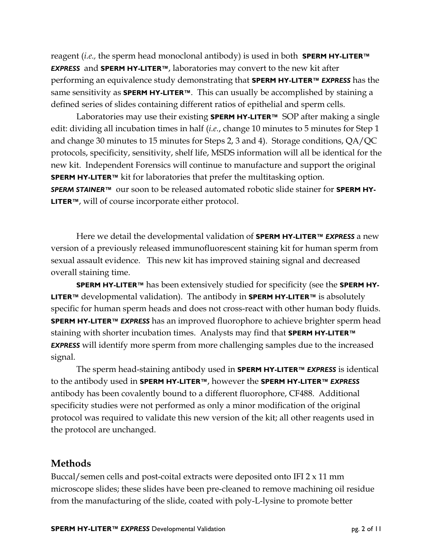reagent (*i.e.,* the sperm head monoclonal antibody) is used in both **SPERM HY-LITER™**  *EXPRESS* and **SPERM HY-LITER™**, laboratories may convert to the new kit after performing an equivalence study demonstrating that **SPERM HY-LITER™** *EXPRESS* has the same sensitivity as **SPERM HY-LITER™**. This can usually be accomplished by staining a defined series of slides containing different ratios of epithelial and sperm cells.

 Laboratories may use their existing **SPERM HY-LITER™** SOP after making a single edit: dividing all incubation times in half (*i.e.*, change 10 minutes to 5 minutes for Step 1 and change 30 minutes to 15 minutes for Steps 2, 3 and 4). Storage conditions, QA/QC protocols, specificity, sensitivity, shelf life, MSDS information will all be identical for the new kit. Independent Forensics will continue to manufacture and support the original **SPERM HY-LITER™** kit for laboratories that prefer the multitasking option. *SPERM STAINER™* our soon to be released automated robotic slide stainer for **SPERM HY-LITER™**, will of course incorporate either protocol.

 Here we detail the developmental validation of **SPERM HY-LITER™** *EXPRESS* a new version of a previously released immunofluorescent staining kit for human sperm from sexual assault evidence. This new kit has improved staining signal and decreased overall staining time.

**SPERM HY-LITER™** has been extensively studied for specificity (see the **SPERM HY-LITER™** developmental validation). The antibody in **SPERM HY-LITER™** is absolutely specific for human sperm heads and does not cross-react with other human body fluids. **SPERM HY-LITER™** *EXPRESS* has an improved fluorophore to achieve brighter sperm head staining with shorter incubation times. Analysts may find that **SPERM HY-LITER™**  *EXPRESS* will identify more sperm from more challenging samples due to the increased signal.

 The sperm head-staining antibody used in **SPERM HY-LITER™** *EXPRESS* is identical to the antibody used in **SPERM HY-LITER™**, however the **SPERM HY-LITER™** *EXPRESS* antibody has been covalently bound to a different fluorophore, CF488. Additional specificity studies were not performed as only a minor modification of the original protocol was required to validate this new version of the kit; all other reagents used in the protocol are unchanged.

### **Methods**

Buccal/semen cells and post-coital extracts were deposited onto IFI 2 x 11 mm microscope slides; these slides have been pre-cleaned to remove machining oil residue from the manufacturing of the slide, coated with poly-L-lysine to promote better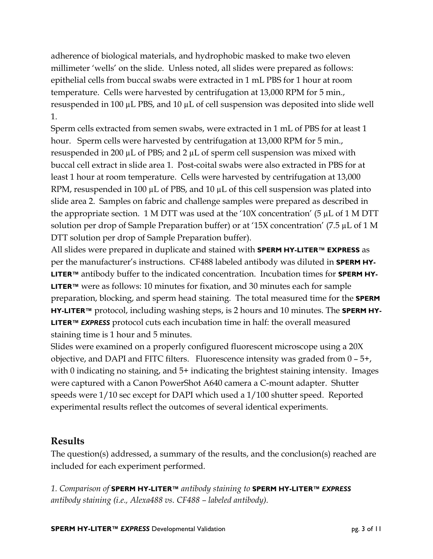adherence of biological materials, and hydrophobic masked to make two eleven millimeter 'wells' on the slide. Unless noted, all slides were prepared as follows: epithelial cells from buccal swabs were extracted in 1 mL PBS for 1 hour at room temperature. Cells were harvested by centrifugation at 13,000 RPM for 5 min., resuspended in 100  $\mu$ L PBS, and 10  $\mu$ L of cell suspension was deposited into slide well 1.

Sperm cells extracted from semen swabs, were extracted in 1 mL of PBS for at least 1 hour. Sperm cells were harvested by centrifugation at 13,000 RPM for 5 min., resuspended in 200  $\mu$ L of PBS; and 2  $\mu$ L of sperm cell suspension was mixed with buccal cell extract in slide area 1. Post-coital swabs were also extracted in PBS for at least 1 hour at room temperature. Cells were harvested by centrifugation at 13,000 RPM, resuspended in 100  $\mu$ L of PBS, and 10  $\mu$ L of this cell suspension was plated into slide area 2. Samples on fabric and challenge samples were prepared as described in the appropriate section. 1 M DTT was used at the '10X concentration' (5  $\mu$ L of 1 M DTT solution per drop of Sample Preparation buffer) or at '15X concentration' (7.5 µL of 1 M DTT solution per drop of Sample Preparation buffer).

All slides were prepared in duplicate and stained with **SPERM HY-LITER™ EXPRESS** as per the manufacturer's instructions. CF488 labeled antibody was diluted in **SPERM HY-LITER™** antibody buffer to the indicated concentration. Incubation times for **SPERM HY-LITER™** were as follows: 10 minutes for fixation, and 30 minutes each for sample preparation, blocking, and sperm head staining. The total measured time for the **SPERM HY-LITER™** protocol, including washing steps, is 2 hours and 10 minutes. The **SPERM HY-LITER™** *EXPRESS* protocol cuts each incubation time in half: the overall measured staining time is 1 hour and 5 minutes.

Slides were examined on a properly configured fluorescent microscope using a 20X objective, and DAPI and FITC filters. Fluorescence intensity was graded from 0 – 5+, with 0 indicating no staining, and 5+ indicating the brightest staining intensity. Images were captured with a Canon PowerShot A640 camera a C-mount adapter. Shutter speeds were 1/10 sec except for DAPI which used a 1/100 shutter speed. Reported experimental results reflect the outcomes of several identical experiments.

# **Results**

The question(s) addressed, a summary of the results, and the conclusion(s) reached are included for each experiment performed.

*1. Comparison of* **SPERM HY-LITER™** *antibody staining to* **SPERM HY-LITER™** *EXPRESS antibody staining (i.e., Alexa488 vs. CF488 – labeled antibody).*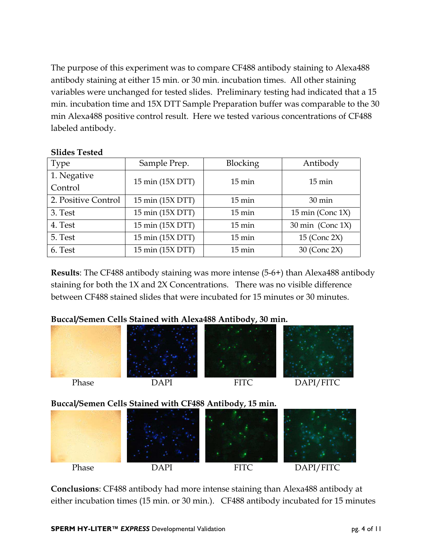The purpose of this experiment was to compare CF488 antibody staining to Alexa488 antibody staining at either 15 min. or 30 min. incubation times. All other staining variables were unchanged for tested slides. Preliminary testing had indicated that a 15 min. incubation time and 15X DTT Sample Preparation buffer was comparable to the 30 min Alexa488 positive control result. Here we tested various concentrations of CF488 labeled antibody.

#### **Slides Tested**

| <b>Type</b>         | Sample Prep.     | <b>Blocking</b>  | Antibody            |
|---------------------|------------------|------------------|---------------------|
| 1. Negative         | 15 min (15X DTT) | $15 \text{ min}$ | $15 \text{ min}$    |
| Control             |                  |                  |                     |
| 2. Positive Control | 15 min (15X DTT) | $15 \text{ min}$ | 30 min              |
| 3. Test             | 15 min (15X DTT) | $15 \text{ min}$ | 15 min (Conc $1X$ ) |
| 4. Test             | 15 min (15X DTT) | $15 \text{ min}$ | 30 min (Conc 1X)    |
| 5. Test             | 15 min (15X DTT) | $15 \text{ min}$ | 15 (Conc 2X)        |
| 6. Test             | 15 min (15X DTT) | $15 \text{ min}$ | 30 (Conc 2X)        |

**Results**: The CF488 antibody staining was more intense (5-6+) than Alexa488 antibody staining for both the 1X and 2X Concentrations. There was no visible difference between CF488 stained slides that were incubated for 15 minutes or 30 minutes.

#### **Buccal/Semen Cells Stained with Alexa488 Antibody, 30 min.**









# **Buccal/Semen Cells Stained with CF488 Antibody, 15 min.**

| Phase | DAPI | <b>FITC</b> | DAPI/FITC |
|-------|------|-------------|-----------|

**Conclusions**: CF488 antibody had more intense staining than Alexa488 antibody at either incubation times (15 min. or 30 min.). CF488 antibody incubated for 15 minutes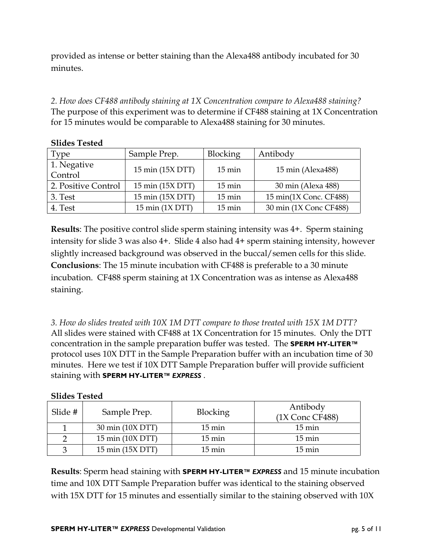provided as intense or better staining than the Alexa488 antibody incubated for 30 minutes.

*2. How does CF488 antibody staining at 1X Concentration compare to Alexa488 staining?*  The purpose of this experiment was to determine if CF488 staining at 1X Concentration for 15 minutes would be comparable to Alexa488 staining for 30 minutes.

| <b>Type</b>            | Sample Prep.      | <b>Blocking</b>     | Antibody               |
|------------------------|-------------------|---------------------|------------------------|
| 1. Negative<br>Control | 15 min (15X DTT)  | $15 \,\mathrm{min}$ | 15 min (Alexa488)      |
| 2. Positive Control    | 15 min (15X DTT)  | $15 \text{ min}$    | 30 min (Alexa 488)     |
| 3. Test                | 15 min (15X DTT)  | $15 \text{ min}$    | 15 min(1X Conc. CF488) |
| 4. Test                | 15 min $(1X DTT)$ | $15 \text{ min}$    | 30 min (1X Conc CF488) |

**Slides Tested** 

**Results**: The positive control slide sperm staining intensity was 4+. Sperm staining intensity for slide 3 was also 4+. Slide 4 also had 4+ sperm staining intensity, however slightly increased background was observed in the buccal/semen cells for this slide. **Conclusions**: The 15 minute incubation with CF488 is preferable to a 30 minute incubation. CF488 sperm staining at 1X Concentration was as intense as Alexa488 staining.

*3. How do slides treated with 10X 1M DTT compare to those treated with 15X 1M DTT?*  All slides were stained with CF488 at 1X Concentration for 15 minutes. Only the DTT concentration in the sample preparation buffer was tested. The **SPERM HY-LITER™**  protocol uses 10X DTT in the Sample Preparation buffer with an incubation time of 30 minutes. Here we test if 10X DTT Sample Preparation buffer will provide sufficient staining with **SPERM HY-LITER™** *EXPRESS* .

#### **Slides Tested**

| Slide # | Sample Prep.     | <b>Blocking</b>     | Antibody<br>(1X Conc CF488) |
|---------|------------------|---------------------|-----------------------------|
|         | 30 min (10X DTT) | $15 \,\mathrm{min}$ | $15 \,\mathrm{min}$         |
|         | 15 min (10X DTT) | $15 \,\mathrm{min}$ | $15 \,\mathrm{min}$         |
|         | 15 min (15X DTT) | $15 \,\mathrm{min}$ | $15 \,\mathrm{min}$         |

**Results**: Sperm head staining with **SPERM HY-LITER™** *EXPRESS* and 15 minute incubation time and 10X DTT Sample Preparation buffer was identical to the staining observed with 15X DTT for 15 minutes and essentially similar to the staining observed with 10X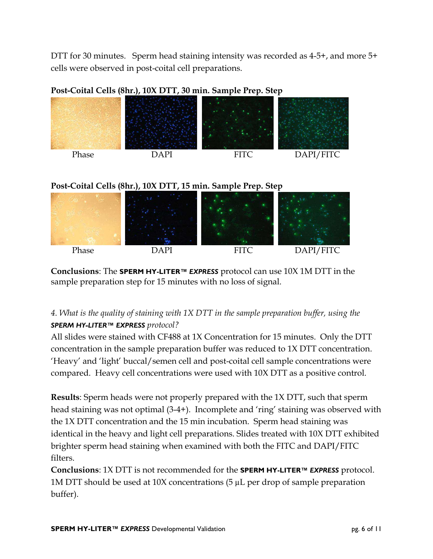DTT for 30 minutes. Sperm head staining intensity was recorded as 4-5+, and more 5+ cells were observed in post-coital cell preparations.



**Post-Coital Cells (8hr.), 10X DTT, 30 min. Sample Prep. Step** 

# **Post-Coital Cells (8hr.), 10X DTT, 15 min. Sample Prep. Step**



**Conclusions**: The **SPERM HY-LITER™** *EXPRESS* protocol can use 10X 1M DTT in the sample preparation step for 15 minutes with no loss of signal.

# *4. What is the quality of staining with 1X DTT in the sample preparation buffer, using the SPERM HY-LITER™ EXPRESS protocol?*

All slides were stained with CF488 at 1X Concentration for 15 minutes. Only the DTT concentration in the sample preparation buffer was reduced to 1X DTT concentration. 'Heavy' and 'light' buccal/semen cell and post-coital cell sample concentrations were compared. Heavy cell concentrations were used with 10X DTT as a positive control.

**Results**: Sperm heads were not properly prepared with the 1X DTT, such that sperm head staining was not optimal (3-4+). Incomplete and 'ring' staining was observed with the 1X DTT concentration and the 15 min incubation. Sperm head staining was identical in the heavy and light cell preparations. Slides treated with 10X DTT exhibited brighter sperm head staining when examined with both the FITC and DAPI/FITC filters.

**Conclusions**: 1X DTT is not recommended for the **SPERM HY-LITER™** *EXPRESS* protocol. 1M DTT should be used at 10X concentrations (5 µL per drop of sample preparation buffer).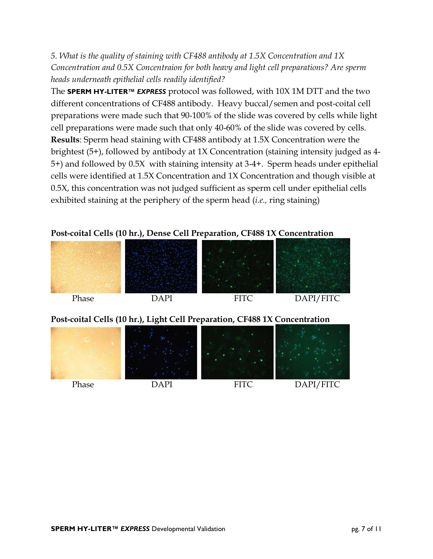*5. What is the quality of staining with CF488 antibody at 1.5X Concentration and 1X Concentration and 0.5X Concentraion for both heavy and light cell preparations? Are sperm heads underneath epithelial cells readily identified?*

The **SPERM HY-LITER™** *EXPRESS* protocol was followed, with 10X 1M DTT and the two different concentrations of CF488 antibody. Heavy buccal/semen and post-coital cell preparations were made such that 90-100% of the slide was covered by cells while light cell preparations were made such that only 40-60% of the slide was covered by cells. **Results**: Sperm head staining with CF488 antibody at 1.5X Concentration were the brightest (5+), followed by antibody at 1X Concentration (staining intensity judged as 4- 5+) and followed by 0.5X with staining intensity at 3-4+. Sperm heads under epithelial cells were identified at 1.5X Concentration and 1X Concentration and though visible at 0.5X, this concentration was not judged sufficient as sperm cell under epithelial cells exhibited staining at the periphery of the sperm head (*i.e.,* ring staining)

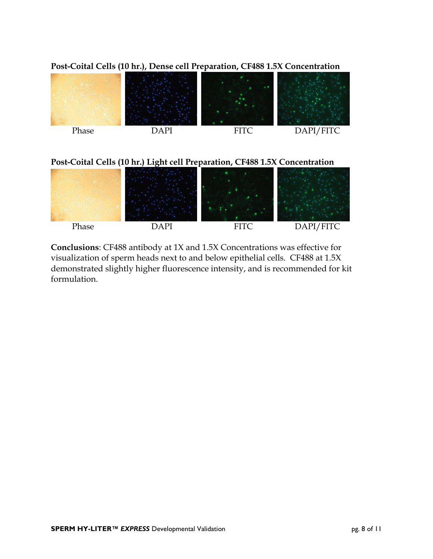

**Post-Coital Cells (10 hr.), Dense cell Preparation, CF488 1.5X Concentration** 

# **Post-Coital Cells (10 hr.) Light cell Preparation, CF488 1.5X Concentration**



**Conclusions**: CF488 antibody at 1X and 1.5X Concentrations was effective for visualization of sperm heads next to and below epithelial cells. CF488 at 1.5X demonstrated slightly higher fluorescence intensity, and is recommended for kit formulation.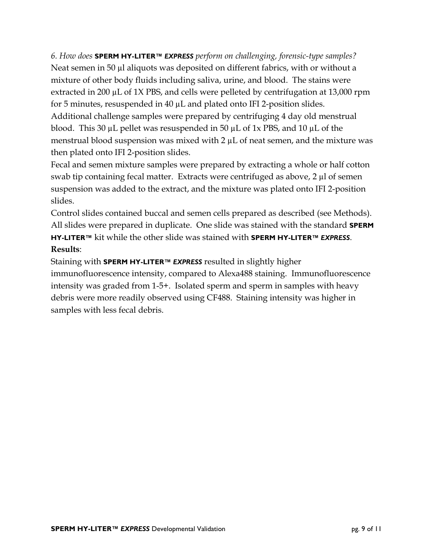*6. How does* **SPERM HY-LITER™** *EXPRESS perform on challenging, forensic-type samples?*  Neat semen in 50 µl aliquots was deposited on different fabrics, with or without a mixture of other body fluids including saliva, urine, and blood. The stains were extracted in 200 µL of 1X PBS, and cells were pelleted by centrifugation at 13,000 rpm for 5 minutes, resuspended in 40 µL and plated onto IFI 2-position slides. Additional challenge samples were prepared by centrifuging 4 day old menstrual blood. This 30 µL pellet was resuspended in 50 µL of 1x PBS, and 10 µL of the menstrual blood suspension was mixed with  $2 \mu L$  of neat semen, and the mixture was then plated onto IFI 2-position slides.

Fecal and semen mixture samples were prepared by extracting a whole or half cotton swab tip containing fecal matter. Extracts were centrifuged as above, 2 µl of semen suspension was added to the extract, and the mixture was plated onto IFI 2-position slides.

Control slides contained buccal and semen cells prepared as described (see Methods). All slides were prepared in duplicate. One slide was stained with the standard **SPERM HY-LITER™** kit while the other slide was stained with **SPERM HY-LITER***™ EXPRESS*. **Results**:

Staining with **SPERM HY-LITER***™ EXPRESS* resulted in slightly higher immunofluorescence intensity, compared to Alexa488 staining. Immunofluorescence intensity was graded from 1-5+. Isolated sperm and sperm in samples with heavy debris were more readily observed using CF488. Staining intensity was higher in samples with less fecal debris.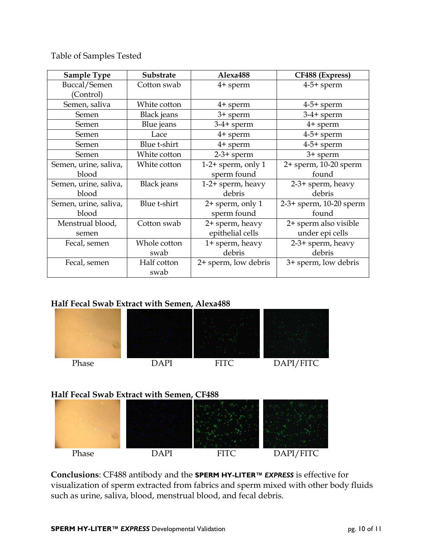Table of Samples Tested

| <b>Sample Type</b>    | Substrate          | Alexa488             | CF488 (Express)         |
|-----------------------|--------------------|----------------------|-------------------------|
| Buccal/Semen          | Cotton swab        | 4+ sperm             | $4-5+$ sperm            |
| (Control)             |                    |                      |                         |
| Semen, saliva         | White cotton       | 4+ sperm             | $4-5+$ sperm            |
| Semen                 | Black jeans        | 3+ sperm             | $3-4+$ sperm            |
| Semen                 | Blue jeans         | $3-4+$ sperm         | $4+$ sperm              |
| Semen                 | Lace               | $4+$ sperm           | $4-5+$ sperm            |
| Semen                 | Blue t-shirt       | $4+$ sperm           | $4-5+$ sperm            |
| Semen                 | White cotton       | $2-3+$ sperm         | 3+ sperm                |
| Semen, urine, saliva, | White cotton       | $1-2+$ sperm, only 1 | 2+ sperm, 10-20 sperm   |
| blood                 |                    | sperm found          | found                   |
| Semen, urine, saliva, | <b>Black</b> jeans | 1-2+ sperm, heavy    | 2-3+ sperm, heavy       |
| blood                 |                    | debris               | debris                  |
| Semen, urine, saliva, | Blue t-shirt       | 2+ sperm, only 1     | 2-3+ sperm, 10-20 sperm |
| blood                 |                    | sperm found          | found                   |
| Menstrual blood,      | Cotton swab        | 2+ sperm, heavy      | 2+ sperm also visible   |
| semen                 |                    | epithelial cells     | under epi cells         |
| Fecal, semen          | Whole cotton       | 1+ sperm, heavy      | 2-3+ sperm, heavy       |
|                       | swab               | debris               | debris                  |
| Fecal, semen          | Half cotton        | 2+ sperm, low debris | 3+ sperm, low debris    |
|                       | swab               |                      |                         |

# **Half Fecal Swab Extract with Semen, Alexa488**



# **Half Fecal Swab Extract with Semen, CF488**



**Conclusions**: CF488 antibody and the **SPERM HY-LITER***™ EXPRESS* is effective for visualization of sperm extracted from fabrics and sperm mixed with other body fluids such as urine, saliva, blood, menstrual blood, and fecal debris.